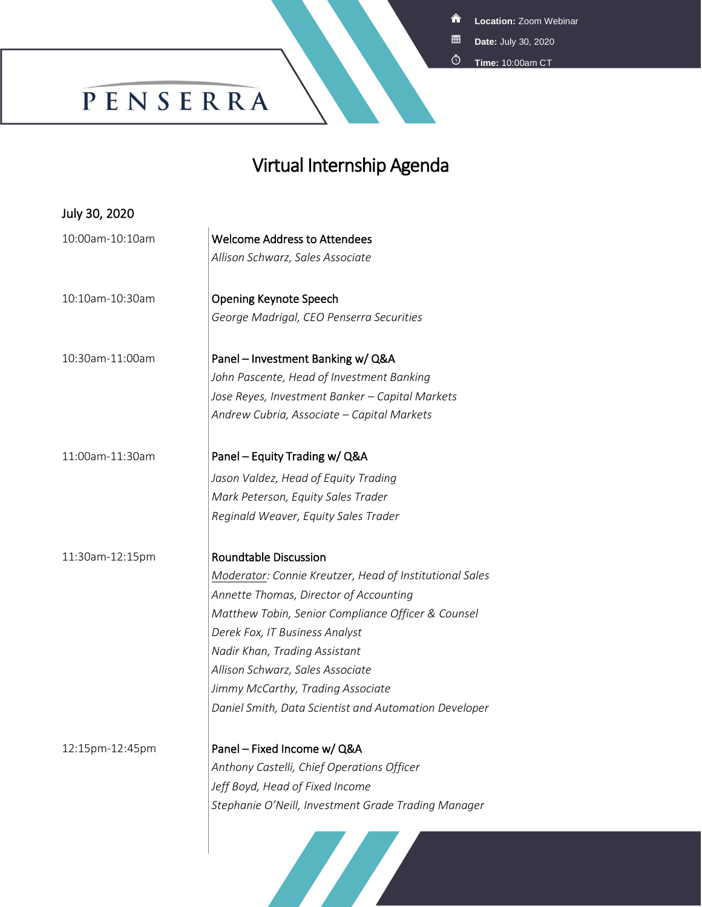<mark>솖</mark> **Location:** Zoom Webinar

- **Date:** July 30, 2020 簠
- **Time:** 10:00am CT

## PENSERRA

## Virtual Internship Agenda

| July 30, 2020   |                                                         |
|-----------------|---------------------------------------------------------|
| 10:00am-10:10am | <b>Welcome Address to Attendees</b>                     |
|                 | Allison Schwarz, Sales Associate                        |
| 10:10am-10:30am | <b>Opening Keynote Speech</b>                           |
|                 | George Madrigal, CEO Penserra Securities                |
| 10:30am-11:00am | Panel - Investment Banking w/ Q&A                       |
|                 | John Pascente, Head of Investment Banking               |
|                 | Jose Reyes, Investment Banker - Capital Markets         |
|                 | Andrew Cubria, Associate - Capital Markets              |
| 11:00am-11:30am | Panel - Equity Trading w/ Q&A                           |
|                 | Jason Valdez, Head of Equity Trading                    |
|                 | Mark Peterson, Equity Sales Trader                      |
|                 | Reginald Weaver, Equity Sales Trader                    |
| 11:30am-12:15pm | <b>Roundtable Discussion</b>                            |
|                 | Moderator: Connie Kreutzer, Head of Institutional Sales |
|                 | Annette Thomas, Director of Accounting                  |
|                 | Matthew Tobin, Senior Compliance Officer & Counsel      |
|                 | Derek Fox, IT Business Analyst                          |
|                 | Nadir Khan, Trading Assistant                           |
|                 | Allison Schwarz, Sales Associate                        |
|                 | Jimmy McCarthy, Trading Associate                       |
|                 | Daniel Smith, Data Scientist and Automation Developer   |
| 12:15pm-12:45pm | Panel - Fixed Income w/ Q&A                             |
|                 | Anthony Castelli, Chief Operations Officer              |
|                 | Jeff Boyd, Head of Fixed Income                         |
|                 | Stephanie O'Neill, Investment Grade Trading Manager     |
|                 | <b>START START</b>                                      |

**START START**